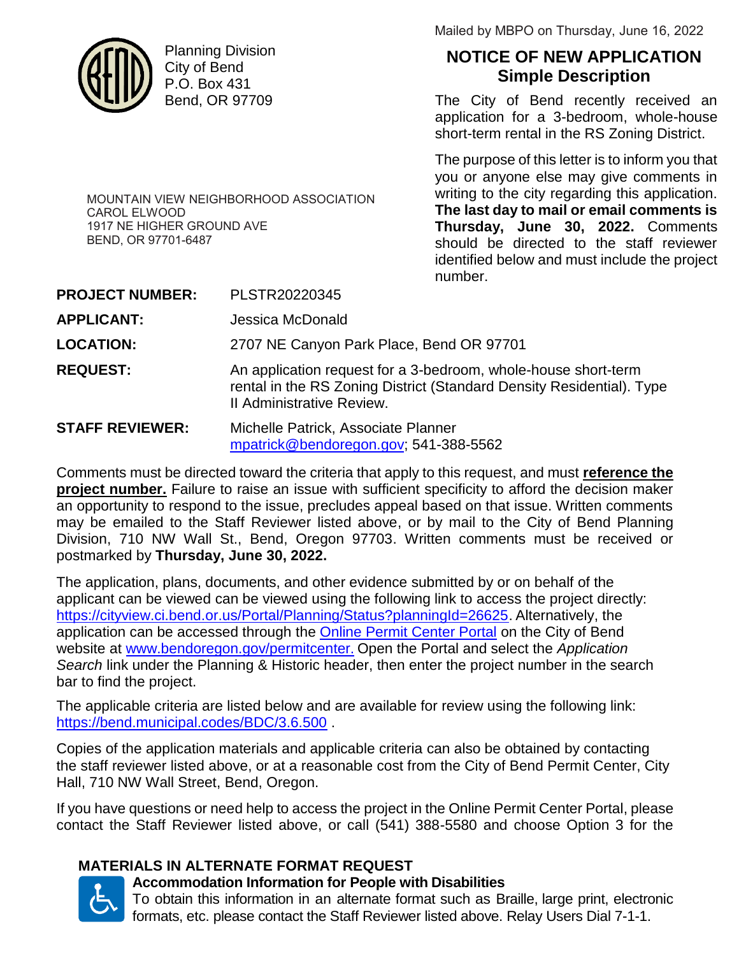

CAROL ELWOOD

BEND, OR 97701-6487

1917 NE HIGHER GROUND AVE

Planning Division City of Bend P.O. Box 431 Bend, OR 97709

MOUNTAIN VIEW NEIGHBORHOOD ASSOCIATION

Mailed by MBPO on Thursday, June 16, 2022

# **NOTICE OF NEW APPLICATION Simple Description**

The City of Bend recently received an application for a 3-bedroom, whole-house short-term rental in the RS Zoning District.

The purpose of this letter is to inform you that you or anyone else may give comments in writing to the city regarding this application. **The last day to mail or email comments is Thursday, June 30, 2022.** Comments should be directed to the staff reviewer identified below and must include the project number.

| <b>PROJECT NUMBER:</b> | PLSTR20220345                                                                                                                                                        |
|------------------------|----------------------------------------------------------------------------------------------------------------------------------------------------------------------|
| <b>APPLICANT:</b>      | Jessica McDonald                                                                                                                                                     |
| <b>LOCATION:</b>       | 2707 NE Canyon Park Place, Bend OR 97701                                                                                                                             |
| <b>REQUEST:</b>        | An application request for a 3-bedroom, whole-house short-term<br>rental in the RS Zoning District (Standard Density Residential). Type<br>Il Administrative Review. |
| <b>STAFF REVIEWER:</b> | Michelle Patrick, Associate Planner<br>mpatrick@bendoregon.gov; 541-388-5562                                                                                         |

Comments must be directed toward the criteria that apply to this request, and must **reference the project number.** Failure to raise an issue with sufficient specificity to afford the decision maker an opportunity to respond to the issue, precludes appeal based on that issue. Written comments may be emailed to the Staff Reviewer listed above, or by mail to the City of Bend Planning Division, 710 NW Wall St., Bend, Oregon 97703. Written comments must be received or postmarked by **Thursday, June 30, 2022.**

The application, plans, documents, and other evidence submitted by or on behalf of the applicant can be viewed can be viewed using the following link to access the project directly: https://cityview.ci.bend.or.us/Portal/Planning/Status?planningId=26625. Alternatively, the application can be accessed through the Online Permit Center Portal on the City of Bend website at www.bendoregon.gov/permitcenter. Open the Portal and select the *Application Search* link under the Planning & Historic header, then enter the project number in the search bar to find the project.

The applicable criteria are listed below and are available for review using the following link: https://bend.municipal.codes/BDC/3.6.500 .

Copies of the application materials and applicable criteria can also be obtained by contacting the staff reviewer listed above, or at a reasonable cost from the City of Bend Permit Center, City Hall, 710 NW Wall Street, Bend, Oregon.

If you have questions or need help to access the project in the Online Permit Center Portal, please contact the Staff Reviewer listed above, or call (541) 388-5580 and choose Option 3 for the

### **MATERIALS IN ALTERNATE FORMAT REQUEST**



# **Accommodation Information for People with Disabilities**

To obtain this information in an alternate format such as Braille, large print, electronic formats, etc. please contact the Staff Reviewer listed above. Relay Users Dial 7-1-1.